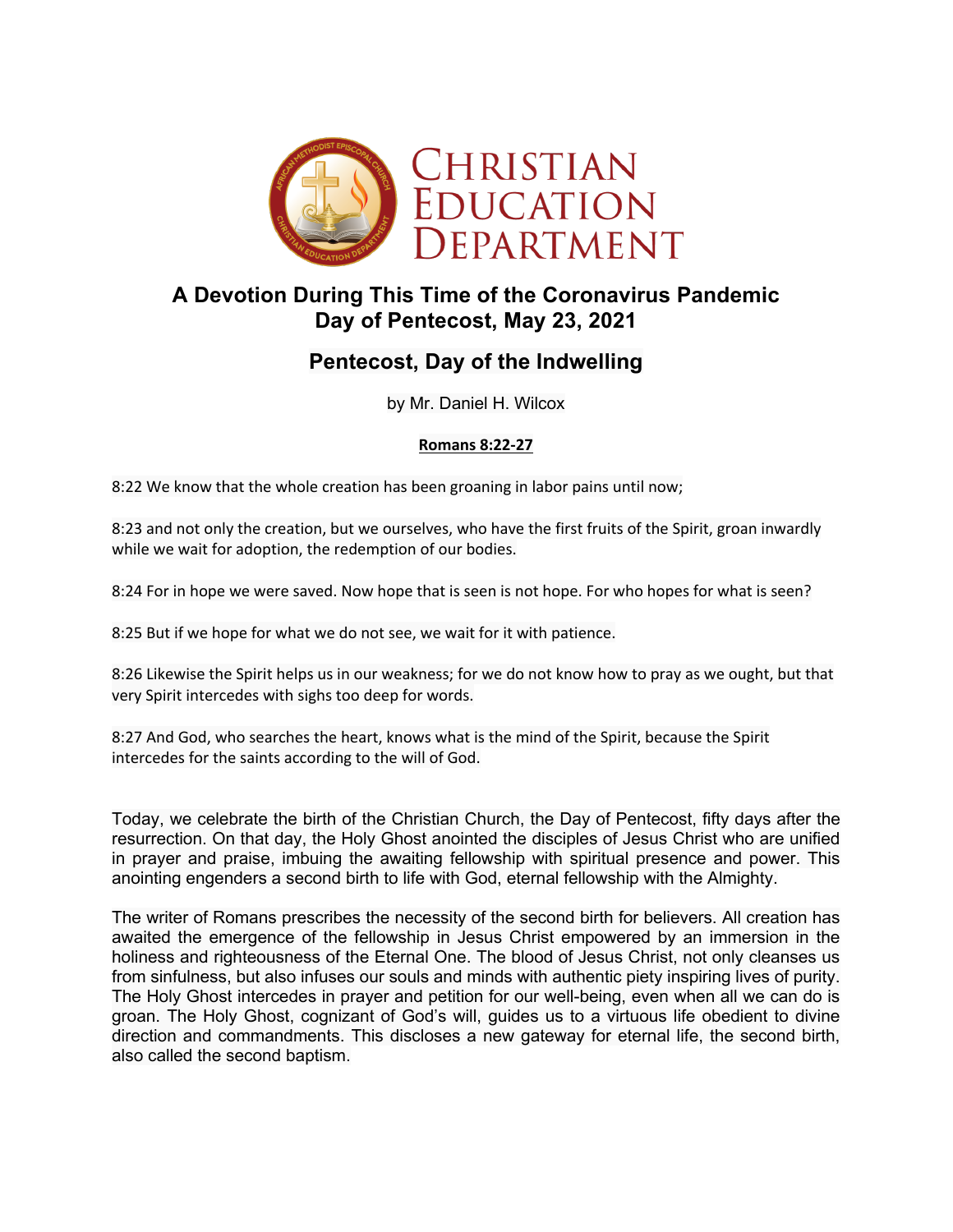

# **A Devotion During This Time of the Coronavirus Pandemic Day of Pentecost, May 23, 2021**

# **Pentecost, Day of the Indwelling**

by Mr. Daniel H. Wilcox

### **Romans 8:22-27**

8:22 We know that the whole creation has been groaning in labor pains until now;

8:23 and not only the creation, but we ourselves, who have the first fruits of the Spirit, groan inwardly while we wait for adoption, the redemption of our bodies.

8:24 For in hope we were saved. Now hope that is seen is not hope. For who hopes for what is seen?

8:25 But if we hope for what we do not see, we wait for it with patience.

8:26 Likewise the Spirit helps us in our weakness; for we do not know how to pray as we ought, but that very Spirit intercedes with sighs too deep for words.

8:27 And God, who searches the heart, knows what is the mind of the Spirit, because the Spirit intercedes for the saints according to the will of God.

Today, we celebrate the birth of the Christian Church, the Day of Pentecost, fifty days after the resurrection. On that day, the Holy Ghost anointed the disciples of Jesus Christ who are unified in prayer and praise, imbuing the awaiting fellowship with spiritual presence and power. This anointing engenders a second birth to life with God, eternal fellowship with the Almighty.

The writer of Romans prescribes the necessity of the second birth for believers. All creation has awaited the emergence of the fellowship in Jesus Christ empowered by an immersion in the holiness and righteousness of the Eternal One. The blood of Jesus Christ, not only cleanses us from sinfulness, but also infuses our souls and minds with authentic piety inspiring lives of purity. The Holy Ghost intercedes in prayer and petition for our well-being, even when all we can do is groan. The Holy Ghost, cognizant of God's will, guides us to a virtuous life obedient to divine direction and commandments. This discloses a new gateway for eternal life, the second birth, also called the second baptism.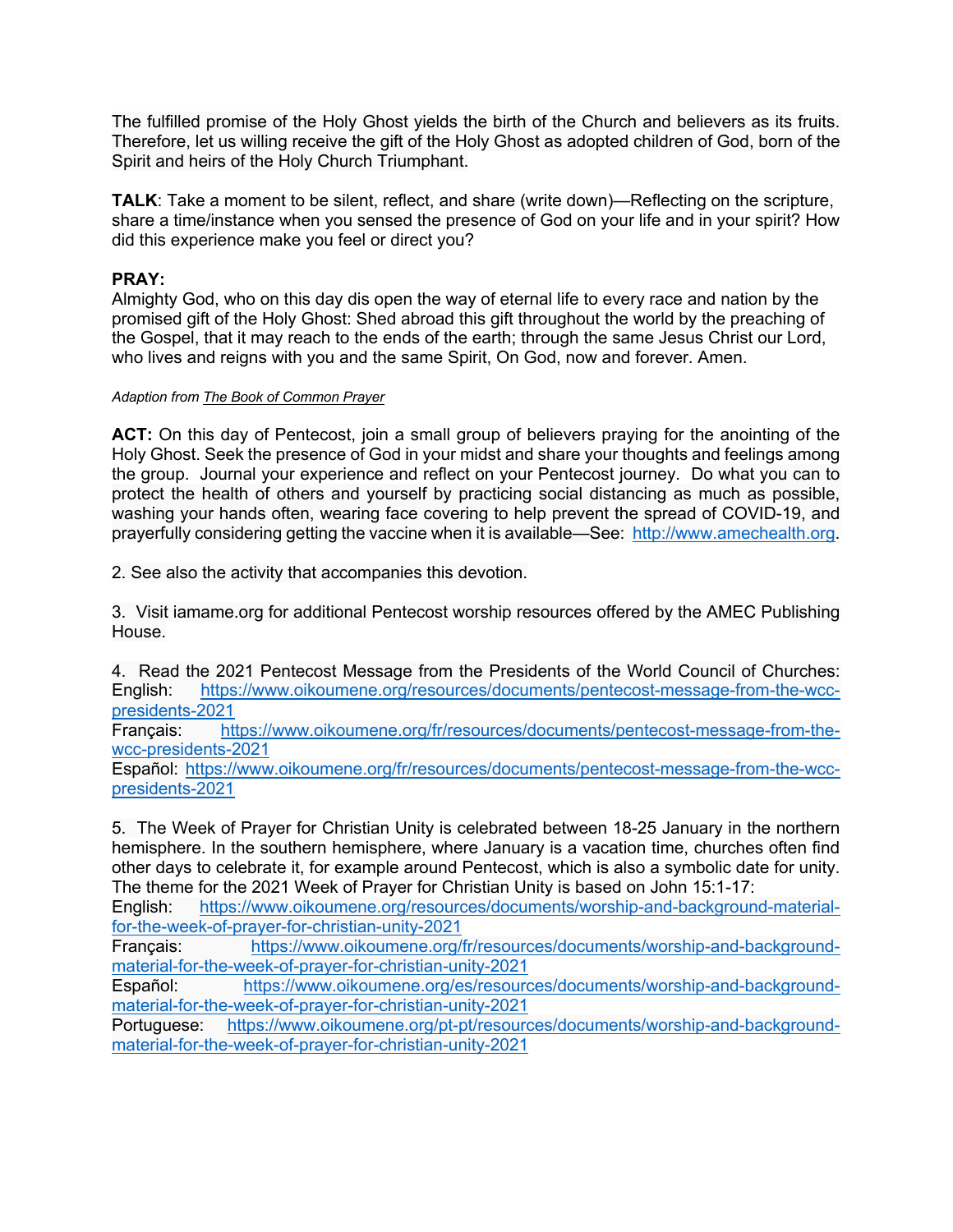The fulfilled promise of the Holy Ghost yields the birth of the Church and believers as its fruits. Therefore, let us willing receive the gift of the Holy Ghost as adopted children of God, born of the Spirit and heirs of the Holy Church Triumphant.

**TALK**: Take a moment to be silent, reflect, and share (write down)—Reflecting on the scripture, share a time/instance when you sensed the presence of God on your life and in your spirit? How did this experience make you feel or direct you?

### **PRAY:**

Almighty God, who on this day dis open the way of eternal life to every race and nation by the promised gift of the Holy Ghost: Shed abroad this gift throughout the world by the preaching of the Gospel, that it may reach to the ends of the earth; through the same Jesus Christ our Lord, who lives and reigns with you and the same Spirit, On God, now and forever. Amen.

#### *Adaption from The Book of Common Prayer*

**ACT:** On this day of Pentecost, join a small group of believers praying for the anointing of the Holy Ghost. Seek the presence of God in your midst and share your thoughts and feelings among the group. Journal your experience and reflect on your Pentecost journey. Do what you can to protect the health of others and yourself by practicing social distancing as much as possible, washing your hands often, wearing face covering to help prevent the spread of COVID-19, and prayerfully considering getting the vaccine when it is available—See: http://www.amechealth.org.

2. See also the activity that accompanies this devotion.

3. Visit iamame.org for additional Pentecost worship resources offered by the AMEC Publishing House.

4. Read the 2021 Pentecost Message from the Presidents of the World Council of Churches: English: https://www.oikoumene.org/resources/documents/pentecost-message-from-the-wccpresidents-2021

Français: https://www.oikoumene.org/fr/resources/documents/pentecost-message-from-thewcc-presidents-2021

Español: https://www.oikoumene.org/fr/resources/documents/pentecost-message-from-the-wccpresidents-2021

5. The Week of Prayer for Christian Unity is celebrated between 18-25 January in the northern hemisphere. In the southern hemisphere, where January is a vacation time, churches often find other days to celebrate it, for example around Pentecost, which is also a symbolic date for unity. The theme for the 2021 Week of Prayer for Christian Unity is based on John 15:1-17:

English: https://www.oikoumene.org/resources/documents/worship-and-background-materialfor-the-week-of-prayer-for-christian-unity-2021

Français: https://www.oikoumene.org/fr/resources/documents/worship-and-backgroundmaterial-for-the-week-of-prayer-for-christian-unity-2021

Español: https://www.oikoumene.org/es/resources/documents/worship-and-backgroundmaterial-for-the-week-of-prayer-for-christian-unity-2021

Portuguese: https://www.oikoumene.org/pt-pt/resources/documents/worship-and-backgroundmaterial-for-the-week-of-prayer-for-christian-unity-2021